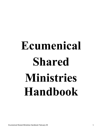# **Ecumenical Shared Ministries Handbook**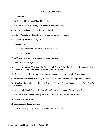# **TABLE OF CONTENTS**

- 1. Introduction
- 2. Definition of Ecumenical Shared Ministries
- 3. Guidelines Vital to Becoming an Ecumenical Shared Ministry
- 4. Observations about Ecumenical Shared Ministries
- 5. Ethical Principles for Those Involved in Ecumenical Shared Ministry
- 6. Basis of Agreement for Clergy Appointments
- *7.* Worship Life
- *8.* Local Organization and Governance *(to be completed)*
- 9. Finance and Property
- 10. A Glossary of Terms for Ecumenical Shared Ministries

Appendix: *(yet to be completed)*

- A. Sample Agreements/Covenants for Ecumenical Shared Ministries *(include 'Regulations' from Kootenay, Hudson Hope, Rocky Mountain House, Spiritwood)*
- B. Order of Worship/Liturgy for Inaugurating an Ecumenical Shared Ministry *(yet to come)*
- C. Guidelines for Collaborative Congregational Ministries for Lutherans and Anglicans in Canada
- D. Guidelines for Anglican and Lutheran Priests and Pastors Serving Appointments in Each Other's Churches
- E. Ecumenical Church Worship Outlines *(including special occasions, joint confirmations)*
- F. Guidelines for Common Worship (from the Joint Anglican Lutheran Commission)
- G. Annual Statistical Report
- H. Application for Financial Grant
- I. Page of links *(e.g. to the Manual, Book of Forms, Handbook)*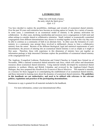# **1. INTRODUCTION**

"Make fast with bonds of peace the unity which the Spirit gives." *(Eph. 4:3)*

You have decided to explore the possibilities, challenges and rewards of ecumenical shared ministry. Over the past 30 years such ministries have become an exciting option in Canada, for a variety of reasons. In some cases, a commitment to an ecumenical model of ministry is the primary motivation for collaboration. In other cases, declining membership and resources move congregations in both rural and urban settings to consider shared or collaborative ministries. Small, isolated, or ecumenically committed congregations from different denominations may choose to worship together so that in this way they may be able to continue as a community of faith in an alternate form. In other cases the formation of a new ministry in a community may prompt those involved to deliberately choose to form a collaborative ministry from the outset. Because of the different theological, legal and statistical requirements of each denomination, the process of entering into an ecumenical shared ministry is not as simple as it might at first seem. Therefore, those with experience in this dimension of ministry have put together an information package to help interested Christians explore the possibilities of ecumenical shared ministry at the congregational level.

The Anglican, Evangelical Lutheran, Presbyterian and United Churches in Canada have formed (as of November, 2006) a national ecumenical shared ministries task force, which will collect and disseminate resources about ecumenical shared ministries. Using material initially developed by ecumenical shared ministries in northern Alberta and British Columbia, and reviewed by the Anglican-United Church Dialogue, they have prepared this *Handbook for Ecumenical Shared Ministries*. This material is intended as a resource for those engaged in or contemplating the establishment of an ecumenical shared ministry, and those interested in learning more about the dynamics of ecumenical shared ministries. **The guidelines in this handbook are not authoritative, and need to be utilized with reference to the relevant policies, regulations and practices of the participating denominations.** 

Permission to copy is granted for all materials included in the handbook.

For more information, contact your denominational office.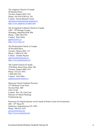The Anglican Church of Canada 80 Hayden Street Toronto, Ontario M4Y 3G2 Phone: 416-924-9199 Ext. 281 Contact: Alyson Barnett-Cowan abarnettcowan@national.anglican.ca http://www.anglican.ca/index.htm

The Evangelical Lutheran Church in Canada #302 - 393 Portage Avenue Winnipeg, Manitoba R3B 3H6 Phone: 1-888-786-6707 Contact: Paul Gehrs pgehrs@elcic.ca http://www.elcic.ca/

The Presbyterian Church in Canada 50 Wynford Drive Toronto, Ontario M3C 1J7 Phone: 1-800-619-7301 Contact: Gordon Haynes ghaynes@presbyterian.ca http://www.presbyterian.ca/

The United Church of Canada 3250 Bloor Street West, Suite 300 Toronto, Ontario M8X 2Y4 Phone: 416-231-5931 1-800-268-3781 Contact: Gail Allan gallan@united-church.ca

Moravian Church Northern Province 273 Michener Court West Severna Park, MD USA 21146 Contact: Rev. Dr. Fred Lehr Director of Church Planning Fred@mcnp.org

Resources for shared ministry can be found at Prairie Centre for Ecumenism  $600 - 45$ <sup>th</sup> Street W. Saskatoon, Saskatchewan S7L 5W9 Phone: 306-653-1633 pce@ecumenism.net http://www.ecumenism.net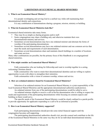# **2. DEFINITION OF ECUMENICAL SHARED MINISTRIES**

# **1. What is an Ecumenical Shared Ministry?**

 It is people worshipping and serving God in a unified way while still maintaining their denominational identity and connections.

It is any combination of denominations sharing a program, mission, ministry or building.

# **2. What do Ecumenical Shared Ministries look like?**

Ecumenical shared ministries take many forms.

- They may be as simple as sharing programs and/or staff.
- Some congregations may share a building only and otherwise maintain their own denominational ministry and services.
- Sometimes several denominations may have one ordained minister and alternate the forms of worship of the participating denominations.
- Sometimes several denominations may have one ordained minister and one common service that meet the needs and requirements of each denomination.
- Sometimes several denominations share and maintain church buildings in a number of locations and rotate services.

Many other combinations are possible, but the primary focus of this Handbook is on congregational shared ministries.

# **3. Who might consider an Ecumenical Shared Ministry?**

 Faith communities who are looking for fellowship and want to worship together in a caring, welcoming Christian church.

 Faith communities who want to retain their denominational identities and are willing to explore opportunities to join with others to strengthen their ministries.

Faith communities with a vision of common worship, witness and service.

# **4. How are ordained ministers found for Ecumenical Shared Ministries?**

 Selection of an ordained minister for an Ecumenical Shared Ministry is a joint responsibility of the local Ecumenical Shared Ministries and the appropriate denominational authorities (judicatories).

An ordained minister from one of the participating denominations would be called to serve.

 An ordained minister eligible to receive a call in her/his denomination who is willing to respect the needs and requirements of the participating denominations while focusing on common aspects and building on them would serve.

The specific needs of the Ecumenical Shared Ministry would be clearly outlined in a parish profile to provide opportunity for applicants responding to a call to be as informed as possible.

# **5. How is an Ecumenical Shared Ministry supported?**

 Each participating denomination should provide some initial financial support until the congregation becomes self-supporting.

 The participating denominational authorities should visit, provide counsel and contribute to the life of the Ecumenical Shared Ministries in the same way they do for an individual denominational ministry.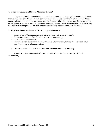# **6. When are Ecumenical Shared Ministries formed?**

 They are most often formed when there are two or more small congregations who cannot support themselves. Formerly this was in rural communities; now it is also occurring in urban centres. These congregations continue to have a common need for Christian fellowship and a strong desire to worship God together. They are also formed when faith communities of different denominations believe that they will be better able to provide Christian outreach and ministry together rather than separately.

# **7. Why is an Ecumenical Shared Ministry a good alternative?**

- It may allow a Christian congregation to exist where otherwise it couldn't.
- It provides a more unified Christian witness to a community.
- It may be more economical.
- It provides more opportunity for programs (e.g. Church choirs, Sunday Schools) not always possible in very small congregations.

# **8. Where can someone learn more about an Ecumenical Shared Ministry?**

 Contact your denominational office or the Prairie Centre for Ecumenism (see list in the Introduction).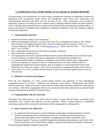# **3. GUIDELINES VITAL TO BECOMING AN ECUMENICAL SHARED MINISTRY**

As stated earlier in the introduction, it is wise to begin consideration of shared or collaborative ministry by dispensing with second-hand stories heard and assumptions made about such endeavours, and communicating first-hand with those who are involved in one. Their experiences can be helpful in fashioning a process for setting up such a ministry and in exploring different models of shared ministry. Lists of existing shared ministries across Canada can be obtained from denominational national offices. A step-by-step process is outlined in the Collaborative Ministries Guidelines of the Joint Anglican Lutheran Commission (appendix).

# **1. Congregational consensus**

- Identify the ministry needs in your community.
- Obtain a demographic profile for your area. One source for a comprehensive profile is: Rev. Philip Hink, Director of Canadian Missions, ELCIC Synod of Alberta and the Territories, 16014 - 81 Avenue, Edmonton, AB T6E 1W8. E-mail phink@elcic.ca. Phone 780-439-2636. FAX 780-462- 5838. (Cost: \$25.00)
- Have congregational discussion on the need for and type of ministry.
- Have some joint worship services.
- All congregations involved in a proposed shared ministry should individually agree to become a part of such a ministry according to the process appropriate to their particular denomination.
- A covenant should include a willingness to cooperate ecumenically with the other congregations involved, an openness to using new ways of worship and service as well as different forms of congregational organization and governance, and an acceptance of a fair proportional share of the financial needs of the new ministry. These will be specified in a congregational plan (see #5 below).
- View video *A Love Story* available from the Prairie Centre for Ecumenism (dated, but the issues are still relevant).

# **2. Judicatory Awareness and Support**

From the very beginning of a move toward shared ministry, the judicatory of each participating congregation must be involved. Anglicans and Lutherans: local bishop. Presbyterians and United Church: presbytery. Support for such a venture must be forthcoming from these judicatories if the process is to continue. Only those congregations that receive permission from their judicatories to proceed should continue exploring the possibility of shared ministry.

# **3. Communication with all Concerned**

Throughout the whole process every effort must be made to ensure that all parties concerned in the discussions, local, regional and national, are kept informed. When a shared ministry is established continuing communication among the judicatories and the congregation is indispensable.

# **4. Some Concerns to be Addressed**

- An appropriate board structure to suit the particular congregation and denominations involved.
- Financial arrangements that are accepted as fair by all. Consideration should be given to proportional responsibility based on numbers of supporting households and ability to pay.
- Personnel required. Processes available through the participating denominations, such as the Joint Needs Assessment of the United Church, might be employed and followed carefully to determine

Ecumenical Shared Ministries Handbook February 09 7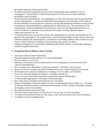the number and type of personnel needed.

- Worship format and sacramental practices that are meaningful and acceptable to the new congregation. The possibility of alternating formats for a trial period to explore different possibilities may be helpful.
- Denominational responsibilities the congregations to their denominations and the denominations to their congregations. It should be clarified from the beginning what demands will be made by the denominations involved upon the minister(s) and the denominational members in terms of time commitments, financial obligations, appointments to judicatories, etc. The expectations of the congregations on their denominations should also be clear from the beginning, particularly in terms of authority to administer the sacraments and conduct worship, financial support, supervision, pastoral care, etc.
- A Christian Education structure that will provide opportunities for Christian development for all people in the congregation. Developing such a structure should include, besides church school and midweek children and youth programs, consideration of including children in the worship services as part of their Christian development, and providing study groups for adults.
- Adequate preparation for clergy before undertaking the shared ministry, and through continuing education regularly thereafter.

# **5. Ecumenical Shared Ministry Plan to Include**

- The nature of the covenant relationship
- Pastoral leadership needed and how it is chosen/determined
- How the ministry is reviewed
- Standing of the minister and lay representatives of the congregation in the structures of the respective denominations
- How worship style is determined honouring traditions familiarity with resources
- Special services of worship to be held including anniversaries acknowledged by all involved
- Development of a common installation/covenanting service to mark a new ministry
- Process for choosing liturgies for baptisms, weddings, funerals etc.
- A way of everyone involved recognizing confirmations/church membership
- A financial plan appropriate to the nature of the partnership
- How assets such as buildings and memorials are to be shared
- Means and handling of financial support for local, denominational mission funds, etc. recording of offerings through envelopes or preauthorized remittance (PAR), issuing of charitable receipts, developing a sense of stewardship
- How denominational records are kept
- The kind of governing board to be used, how it is set up, how it can be developed
- A method of orientation for both lay and clergy to start, and newcomers after initial orientation
- A withdrawal clause including terms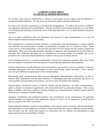# **4. OBSERVATIONS ABOUT ECUMENICAL SHARED MINISTRIES**

We all have some kind of commitment to, interest in and energy for the support and development of ecumenical shared ministries. We also have our convictions about working ecumenically.

For some of us, the focus is primarily on our particular congregations. For others, the interest is related to our judicatory positions and responsibilities. Persons involved in local shared ministries are more likely to be thinking and working ecumenically more of the time than those of us in denominational judicatory positions.

All of us derive satisfaction from our association with persons of other denominations as we live out and/or support ecumenical shared ministries.

Our commitment to ecumenical shared ministries, as judicatories and denominations, is neither uniform nor consistent, one denomination to another, one judicatory to another, nor is it "written in stone." Much of the success of the partnerships is derived from the good will, the energy and the interest of particular individuals. There may be broad principles regarding co-operation and ecumenical involvement that our Churches have endorsed, but there are no constitutions, governing bodies, or oversight and review procedures for ecumenical shared ministries to which we have given common consent.

Local ministries may have a covenant relationship covering their particular situations; these have likely been developed in cooperation with and agreed to by participating judicatories/denominations.

Change of personnel, in both judicatory and local positions, can result in a loss of continuity or memory regarding agreements with and commitments to local ecumenically shared ministries. "New" persons may also give different interpretations to these understandings.

Maintaining good communication links between appropriate denominational judicatories, as well as between these judicatories and the local ministries, is challenging and time consuming and, given our various polities and geographical boundaries, can also be quite frustrating and confusing.

External factors, beyond the control of both the ministry and the judicatory, can affect a denomination's ability to honour or maintain its agreements with and commitments to a particular situation. This is most likely to happen with issues relating to mission funding (e.g., denominational cutbacks) and/or pastoral relations (e.g., shortage of suitable supply).

Adequate consultation with ecumenical partners and consideration of the consequences for particular shared ministries are important when judicatories choose or need to act in response to external factors and/or to matters with "their" personnel.

Denominational traditions, loyalties, responsibilities, and concerns can be in tension with the possibilities and requirements of participation in ecumenical shared ministries and requires adaptation and flexibility. Such diversity can also enrich and expand our experiences and can enhance our participation in and appreciation for the universal Body of Christ.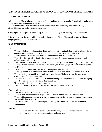# **5. ETHICAL PRINCIPLES FOR THOSE INVOLVED IN ECUMENICAL SHARED MINISTRY**

# **A. BASIC PRINCIPLES**

**All:** Adhere and be loyal to the standards, traditions and faith of our particular denomination, and respect those of the other denominations in the congregation.

 View the shared ministry as ecumenical and collaborative, marked by love, trust, service, stewardship and exemplary personal behaviour.

**Congregation:** Accept the responsibility to share in the ministry of the congregation as volunteers.

**Ministers**: Accept the responsibility to minister in the name of Jesus Christ to all people within the congregation(s) in a professional manner.

# **B. COMMITMENT**

# **All:**

- To acknowledge and celebrate that this is a shared ministry not only because it involves different denominations, but also because we are all, clergy and lay, part of the ministry offered here.
- To respect and affirm the ecumenical environment in which we all minister.
- To work collaboratively with all who share in this ministry, respecting our differences and affirming each other's gifts.
- To endeavour to serve with faithfulness, courage, integrity, charity, humility, justice and openness.
- To respect ourselves and care for our own personal, intellectual, physical, emotional and spiritual well-being.
- To maintain a disciplined spiritual life through prayer and devotion.
- To recognize that true leadership is about service, and that it calls and enables others to serve.
- To strive to lead personal lives in such a way as to honour God and respect the normative expectations of our denominations.
- To affirm that everyone is created equal and in the image of God; therefore, to respect the dignity of each person and serve all without discrimination.
- Not to abuse or harass any person in any way.
- To support financially the work of the Body of Christ at home and abroad.

# **Congregation:**

- To share in the ministry of Christ in the community.
- To work with others in the congregation for the mutual benefit of all in Christ's name.
- To respect the ministry offered to us by our ministers as a gift from God and support them in every way possible in that ministry.
- To share in that ministry by accepting responsibility for leadership and service within the congregation.

# **Ministers:**

• To minister in the name of Jesus Christ with caring concern for those with whom we minister, with our colleagues in ministry, and ourselves.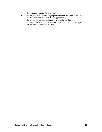- To accept and honour the trust placed in us.
- To respect the privacy of the people with whom we minister; hence, not to disclose confidential information inappropriately
- To respect the physical and emotional boundaries of pastoral conversations, and in those relationships to promote human and spiritual growth and not foster dependency.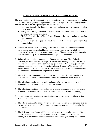# **6. BASIS OF AGREEMENT FOR CLERGY APPOINTMENTS**

The term 'judicatories' is important for shared ministries. It indicates the persons and/or bodies who have pastoral responsibility and oversight for the congregation(s). Judicatories are different depending on the denomination.

- Anglican: through the bishop, who may authorize an archdeacon or other representative.
- Presbyterian: through the clerk of the presbytery, who will indicate who will be serving as the interim moderator.
- ELCIC: through the office of the bishop, who may authorize another representative.
- United Church: the pastoral relations committee of the presbytery has responsibility.
- 1. In the event of a ministerial vacancy or the formation of a new community of faith, participating judicatories should ensure that interim services are provided. The initiation of the vacancy process and co-ordination of interim services shall normally be the responsibility of the denomination of the previous incumbent.
- 2. Judicatories will assist the community of faith to prepare a profile defining its character, its needs and the challenges for witness and ministry it faces. The profile will include: 1) a profile of the community; 2) a profile of the church; 3) a mission statement or statement of core values of the church; 4) a copy of the ecumenical shared ministry plan (section 3 point 5); and 5) a statement of the commitment which the ecumenical shared ministry is prepared to make.
- 3. The judicatories in cooperation with the governing body of the ecumenical shared ministry should form a selection committee and determine the search process.
- 4. The selection committee should seek candidates who indicate an openness to the ecumenical nature of this call/appointment/settlement.
- 5. The selection committee should endeavour to honour any commitment made by the ecumenical shared ministry to rotate the denominational affiliation of its clergy.
- 6. All the judicatories must approve candidates prior to their being considered by the selection committee.
- 7. The selection committee should review the proposed candidates and designate one (or two) who have the support of the committee members representing all participating judicatories.
- 8. The designated candidate(s) will be required to meet with the selection committee unless the selection committee decides otherwise. The norm will be that the congregation pay the cost of the interview which will be negotiated by the selection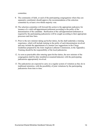committee.

- 9. The community of faith, or each of the participating congregations where they are separately constituted, should approve the recommendation of the selection committee by at least a two-thirds majority vote.
- 10. The selection committee will forward this action to the appropriate judicatory for issuance of a valid call/appointment/settlement according to the polity of the denomination of the candidate. Ratification of the call/appointment/settlement as required by the participating judicatories will be sought according to their appropriate processes and time lines.
- 11. Prior to the new minister taking up his/her duties, he/she shall undertake a training experience, which will include training in the polity of each denomination involved and may include the appointment of a mentor (see suggestions in the Clergy Guidelines prepared by the Joint Anglican Lutheran Commission, in the Appendix). Training should be the responsibility of the local judicatories.
- 12. As soon as practicable after entering upon his/her duties, the new minister of the congregation shall be duly installed/covenanted/inducted, with the participating judicatories appropriately involved.
- 13. The judicatories are expected to carry on a regular system of visitation as they do in traditional ministries, with the possibility of joint visitations by the participating judicatories from time to time.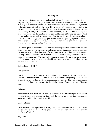# **7. Worship Life**

Since worship is the major event and central act for Christian communities, it is no surprise that planning worship becomes a key issue for ecumenical shared ministries. Not only do different traditions have different emphases in their liturgical life, but our different denominational families have different ways of organizing responsibility for worship. Ecumenical shared ministries are blessed with potentially having access to a wide variety of liturgical texts and musical resources, but at the same time they can feel overwhelmed by the number of choices, and the cost of buying too many sets of books, and they may wish to choose just a few for regular use. Or, they may choose to invest in technology (and copyright permissions!) for putting together a bulletin and/or overhead projection for each service. Each choice can stir up issues of denominational customs and preferences.

One basic question to address is whether the congregation will generally follow one form of service, or whether they will alternate among traditions – using a Lutheran rite one week, a Presbyterian style of worship the next, etc. They may also want to develop 'blended' services for particular events – anniversaries, celebration of new ministry and festivals. The relevant judicatories should be involved in decisionmaking about how a congregation should address these matters and what level of authorization is required.

# **Whose Responsibility?**

# Presbyterians

'As the executive of the presbytery, the minister is responsible for the conduct and content of public worship … The session is responsible for regulating the hours and forms of public worship and for arranging special services. The session determines the appointed times and provides for the administration of the sacraments.' (*Book of Forms*)

# Lutherans

There are national standards for worship and some authorized liturgical texts, which include liturgies and hymns. At the parish level, the pastor and the congregation share responsibility for planning worship.

# United Church

"The Session, or its equivalent, has responsibility for worship and administration of the sacraments in the local setting, provided the worship remains in continuity with the Basis of Union."

# Anglicans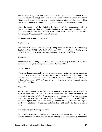The diocesan bishop is the person who authorizes liturgical texts. The General Synod (national governing body) from time to time issues authorized books of worship (liturgies and hymns) and these may be used with the permission of the bishop. Other rites are not supposed to be used, but in practice can be a wide variety of custom.

Since the adoption of the Waterloo Declaration of full communion with the Evangelical Lutheran Church in Canada, Anglicans and Lutherans are allowed (with the permission of the local bishop) to use each other's authorized books. (See Appendix for Guidelines for Common Worship).

# **Authorized or Recommended Texts**

# **Presbyterians**

*The Book of Common Worship* (1991); *Living Faith/Foi Vivante: A Statement of Christian Belief* (1984); *The Book of Praise* (1997). *The Book of Praise* is the authorized hymn book; some congregations continue to use the 1982 edition.

# Lutherans

Three books are currently authorized: the *Lutheran Book of Worship* (1978), *With One Voice* (1995), and *Evangelical Lutheran Worship* (2006).

# United Church

While the church occasionally produces worship resources, they are neither mandated nor exclusive – congregations have the freedom to draw on many sources for worship. United Church recommended resources include *Celebrate God's Presence: A Book of Services* (2000); *Voices United* (1996); *More Voices* (a supplement to Voices United) **date**.

# Anglicans

*The Book of Common Prayer* (1962) is the standard of worship and doctrine and the *Book of Alternative Services* (1985) is in widespread use. More alternatives are included in *Services of the Word*, *Supplementary Eucharistic Prayers*, and *Night*  Prayer, and many of these texts are available in French. *Common Praise* (1998) is an authorized hymn book, as is *The Book of Common Praise* (1938) and The Hymn Book (1971), but more latitude is given to the choice of hymn books than to liturgical texts.

# **Considerations in Planning Worship**

People often have strong feelings about how worship should be conducted. Any worship committee in an ecumenical shared ministry is encouraged to pay attention to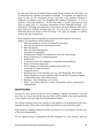the real issues that may lie behind disputes about liturgy, because for some there will be issued that they consider to be matters of principle. For example, an Anglican may insist on wine for the communion service, since that is the standard expected of Anglicans according to canon law throughout the Anglican Communion – it is not a question of personal preference. On the other hand, a United Church person may insist on grape juice as a necessary requirement of their Methodist heritage. It is important to encourage open discussion of the reasons for these different views and to learn what each tradition cherishes and why. In most cases a compromise can be found that allows for choices within the liturgy – two cups, for example, or a chalice of wine and cups of grape juice.

Some questions about worship that an ecumenical shared ministry will want to address, in consultation with the judicatories:

- Who may preside at a service of eucharist/communion
- Who may preside at non-sacramental services
- Who may preach
- Who may lead which prayers
- Frequency of communion
- Participation of children in communion, and in the whole liturgy
- Books or bulletins or overhead projection<br>• Which books
- Which books
- A common rite for the community, or alternate among traditions
- Bread, wine and/or grape juice<br>• How to dispose of communion
- How to dispose of communion elements that are left over
- Vestments for clergy and others
- Liturgical colours<br>• Special services in
- Special services in the Christian year (e.g. Ash Wednesday, Holy Week)
- Special Sundays (e.g. some traditions mark Worldwide Communion Sunday, or Reformation Day, while others do not)
- Readings from a lectionary, or by theme
- Music how much, what mix of styles, instruments, sources, choral and/or congregational

# **Special Occasions**

Services for some special occasions, such as baptism, weddings and funerals will each have their own issues, but for the most part these will be related to the needs and desires of the families involved, rather than denominational matters.

The official teaching of all of our churches is that baptism is to be performed with water, using the formula 'in the name of the Father and of the Son and of the Holy Spirit'.

With regard to weddings, ordained ministers are bound to act in accordance with the rules of their own denomination.

For two special services, confirmation and the celebration of a new ministry, there are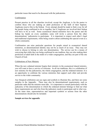particular issues that need to be discussed with the judicatories.

# Confirmation

Present practice in all the churches involved, except the Anglican, is for the pastor to confirm those who are making an adult profession of the faith of their baptism. Anglicans reserve this to the bishop. Every attempt should be made to find a way for all the people being confirmed to do so together, but if Anglicans are involved their bishop will have to be as well. Some ecumenical shared ministries have the pastor and the bishop lay hands on every candidate; some will invite a person from the other denominations' judicatories to participate. It is important to respect each other's legal and traditional requirements, while being creative about celebrating this special event as a whole community.

Confirmation can raise particular questions for people raised in ecumenical shared ministries, as denominational identity may not be as much of an issue. They may not wish to choose to belong to only one denomination. The service can be a means of conveying that while they are being confirmed in one tradition, they are also making their profession of adult faith in the midst of a wider congregation, and they are part of the one Church of God.

# Celebrations of New Ministry

When the new ordained minister begins their ministry in the ecumenical shared ministry, you will want to have a service of welcome. In all our traditions, this is a celebration of new ministry for the judicatories, the whole congregation, and the ordained minister. It is an opportunity to celebrate the various ministries that support each other and provide service to the wider community.

Any liturgical celebration can use signs and symbols to illustrate this, and there are some samples in the Appendix. There may also be denominational requirements, such as particular oaths that the minister must take. It is important to consult particularly with the judicatory of the denomination to which the ordained minister belongs to find out what those requirements are and who from the judicatory needs to participate and in what way. At the same time, representatives and important symbols or actions from the other denominations should also be included.

# **Sample services for appendix**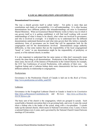# **8. LOCAL ORGANIZATION AND GOVERNANCE**

# **Denominational Governance**

The way a church governs itself is called 'polity'. Yet polity is more than just constitutions and charts of accountability; it is self-understanding. It is often because denominations have different polities that misunderstandings can arise in Ecumenical Shared Ministries. When an Ecumenical Shared Ministry works to find a way in which it can govern itself as it is getting established, it will find itself working with several understandings of what it means to be church, what values are involved in governance, and who is involved in oversight. It is helpful to try to understand how the different denominations understand themselves and what rules govern their life, before a mutually satisfactory form of governance can be found that will be appropriate both for the congregation and for the denominations involved. Denominations assign authority differently, so that some matters that are the responsibility of the local congregational 'board' or 'vestry' in one denomination might be the responsibility of presbytery or synod, or of the national church, in another.

It is also important to understand that the same names or titles don't necessarily mean exactly the same thing in all denominations. Presbyteries in the Presbyterian Church do share some, but not all, of the features of Presbyteries in the United Church; for example, the UCC has Conferences of several Presbyteries, with authority of their own. An Anglican bishop and a Lutheran bishop share some characteristics but have somewhat different authority in relationship to congregations.

# Presbyterians

Governance in the Presbyterian Church of Canada is laid out in the *Book of Forms*. http://www.presbyterian.ca/webfm\_send/205

# Lutherans

Governance in the Evangelical Lutheran Church in Canada is found in its *Constitution* http://elcic.ca/Resources/Constitution.cfm and *By-Laws http://elcic.ca/About-the-ELCIC/Bylaws.cfm*

The basic unit of the church is the congregation, which are grouped in synods. Each synod holds a biennial convention that is its governing body, and every 4 years the synod elects a bishop who is the leader of the synod, along with a vice-president. 5 synods make up the national church, which meets in National Convention every 3 years; it elects a national bishop every 6 years, and is governed by the National Church Council between meetings of Convention.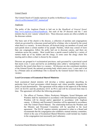# United Church

The United Church of Canada expresses its polity in the*Manual http://unitedchurch.ca/files/manual/2007\_manual.pdf*

# **Anglicans**

The polity of the Anglican Church is laid out in the *Handbook of General Synod*, http://www.anglican.ca/about/handbook/, but each of the 29 dioceses and the 1 area ministry has its own 'canons' (church law). These diocesan canons are often available on the diocesan website.

The basic unit of the church is the diocese, a collection of parishes and congregations which are governed by a diocesan synod and led by a bishop, who is elected by the synod when there is a vacancy. In most dioceses, all licenced clergy are members of synod, and each parish elects a certain number of lay people. Parishes, which may consist of more than one congregation, follow the polity laid out in diocesan canons, and there are variations across the country. Most would have a parish council (called by a variety of names) made up of lay leaders and the clergy; in some cases the clergy chairs this meeting and in others a chair is chosen by the council.

Dioceses are grouped in 4 ecclesiastical provinces, each governed by a provincial synod that meets every 3 years and led by an archbishop (also called a 'metropolitan') who is elected by the synod when there is a vacancy. All dioceses are also constituent members of the General Synod, the national governing body which meets every 3 years and is led by a Primate (also an archbishop) who is elected by the General Synod when there is a vacancy.

# **Local Governance of Ecumenical Shared Ministries**

Each ecumenical shared ministry will develop a written agreement describing its particular form of local governance which honours and, where possible, integrates the polity of each denomination. This agreement will be subject to the approval of the bishop (ACC  $&$  ELCIC) and the presbytery (UCC  $&$  PCC) and will be reviewed from time to time. The agreement will reflect the following principles:

1. The offices of Trustees, Elders, Presbytery Delegates, Synod Delegates and Wardens shall be maintained in accordance with denominational regulations. Wardens will be elected and/or appointed in accordance with Anglican canons. A Ministry and Personnel Committee will be appointed in accordance with The United Church Manual. The relationship between the Wardens and the Ministry and Personnel Committee will be specified in the local agreement. The ELCIC requires ministry personnel to relate to a Board and recommends that the congregation also establish a mutual ministry committee, which in the case of Ecumenical Shared Ministries could include key leaders in the congregation (not necessarily just Lutherans).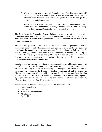- 2. Where there are separate Church Committees and Board/Sessions, each will be set up to meet the requirements of that denomination. Where such a situation exists there shall be a joint meeting at least quarterly, or a quarterly meeting of a central committee.
- 3. Where there is a single governing body, the various responsibilities of each office will be maintained, including finance, stewardship, buildings, membership, worship, Christian formation, and staff relations.

The formation of the Ecumenical Shared Ministry does not consist of the amalgamation of denominations, but rather the recognition of individuals from all denominations who participate in this ministry, working under the beliefs and doctrines of the two or more primary judicatories.

The faith and practice of each tradition, in worship and in governance, will be maintained, honoured and, where appropriate, integrated. In other words, individuals will be afforded the opportunity to grow and be nurtured in the traditions of their own church, and have the opportunity to appreciate a wider ecumenical experience. Honouring its individual traditions, governance and polity, the Ecumenical Shared Ministry will develop a governance model that is appropriate to its own membership and context, in consultation with the relevant judicatories.

In order to provide ongoing support and oversight, each Ecumenical Shared Ministry will be officially linked to its appropriate judicatory through existing denominational structures. The responsibility for maintaining this linkage will be shared between the incumbent priest/minister, the Bishop (or his/her representative) and the Presbytery (through its representative), and will be assisted by the clergy and laity in other Ecumenical Shared Ministries. All ecumenical shared ministries will be visited regularly by representatives of the Diocese (Anglican) Synod (Lutheran) or Presbytery (Presbyterian and United Church) as applicable.

Among the issues that should be flagged for special consideration are:

- Buildings & Property
- Finances
- Support to Denominations
- Membership
- Leadership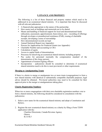# **9. FINANCE AND PROPERTY**

The following is a list of those financial and property matters which need to be addressed in an ecumenical shared ministry. It is important that these be discussed with all relevant judicatories.

- A financial plan appropriate to the nature of the partnership
- How assets such as buildings and memorials are to be shared
- Means and handling of financial support for local and denominational funds (allocation, assessment, apportionment, benevolence, etc). - recording of offerings through envelopes or preauthorized remittance (PAR), issuing of charitable receipts, developing a sense of stewardship
- How denominational records are kept
- Annual Statistical Report (see Appendix)
- Process for Applications for Financial Grants (see Appendix)
- Charitable Number and accounting to CRA
- Calculation of equity
- Access to capital funds of denominations
- Processes for dissolving an ecumenical shared ministry including property
- Pay scales for personnel (normally the compensation standard of the denomination of the clergy person)
- Appointment of trustees/signing officers
- Incorporation judicatories should be consulted to determine if ecumenical shared ministries need to do this to meet provincial or other requirements

# **Merging or Amalgamating Trusts**

If there is a desire to merge or amalgamate two or more trusts (congregations) to form a new shared ministry with identical or substantially compatible charitable purposes, legal advice should be obtained. Provincial authorities may need to be consulted for their approval prior to the merger or amalgamations taking place.

# **Charity Registration Numbers**

When two or more congregations with their own charitable registration numbers vote to form a shared ministry, the following should be considered in consultation with the judicatories:

- 1. Select a new name for the ecumenical shared ministry and adopt a Constitution and Bylaws.
- 2. Register the new ecumenical shared ministry as a charity by filing a Form T2050 application with the:

Charities Directorate, Canada Revenue Agency **Ottawa** K1A 0L5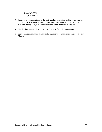1-800-267-2384 fax (613) 954-8037

- 3. Continue to track donations in the individual congregations and issue tax receipts until a new Charitable Registration is received for the new ecumenical shared ministry. In any case, it is probably wise to complete the calendar year.
- 4. File the final Annual Charities Return, T3010A, for each congregation.
- 5. Each congregation makes a grant of their property or transfers all assets to the new Charity.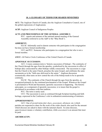# **10. A GLOSSARY OF TERMS FOR SHARED MINISTRIES**

**ACC:** The Anglican Church of Canada; also the Anglican Consultative Council, one of the global expressions of Anglicanism.

**ACIP:** Anglican Council of Indigenous Peoples

# **ACTS AND PROCEEDINGS OF THE GENERAL ASSEMBLY:**

PCC: reports and minutes of the national annual meeting of the General Assembly (referred to as the A&P or the "Blue Book").

# **ADHERENT:**

ELCIC: Informally used to denote someone who participates in the congregation but does not have formal membership.

UCC and PCC: Someone who participates in a congregation but who is not a formal member.

**ANCC:** All Native Circle Conference of the United Church of Canada

# **APOSTOLIC SUCCESSION:**

ACC: A more common term is 'historic succession of bishops'**.** The continuity of the Church through the ages from the apostles, symbolized by the succession in office of bishops duly consecrated by other bishops validly consecrated. The succession is a sign that the Church is the same Church, preaches the same Gospel, and celebrates the same sacraments as in the "faith once delivered to the saints." Anglican discussion ecumenically often turns on how central the role of the bishop needs to be in apostolic continuity.

ELCIC: The continuity of the Church through the ages from the apostles, as recognized primarily by the continued proclamation of the Gospel. Whenever the Gospel is proclaimed in Word and Sacrament, apostolic succession is happening. The historic episcopate, as a component of apostolic succession, is to insure that the gospel is proclaimed in accordance with that tradition.

PCC: The term is rarely used.

UCC: The succession is seen as continued through Scripture/teaching and faith heritage, expressed in the Conference's role in ordination/commissioning of ministers.

# **APPORTIONMENT:**

ACC: One of several terms (*fair share*, *assessment, allotment,* etc.) which parishes are requested to share for the work of the wider church; also used for the amount which dioceses are asked to share with the national church. In some dioceses, *apportionment* means a voluntary contribution, while *assessment* is an amount that must be paid.

# **ARCHDEACON:**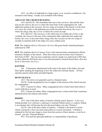ACC: An office of leadership in a large region, or as 'executive archdeacon', the assistant to the bishop. Usually acts on behalf of the bishop.

#### **AREAS OF THE CHURCH BUILDING:**

ACC and ELCIC: The immediate altar area is the *sanctuary*; that and the choir area are the *chancel*; the *nave* is where the main body of the congregation sits, with additional seating in the *transepts*, the two wings of crossbar if the church is in the form of a cross; the *narthex* is the gathering area inside the main front doors; the *vestry* is where the clergy robe; the *sacristy* is where the vessels are kept.

PCC and UCC: The *sanctuary* is the whole area of worship; the *narthex* is the vestibule; the *chancel* is the area of the communion table, baptismal font, pulpit and lectern; the *vestry* is the room where clergy robe; the *transepts* are the two wings of crossbar in churches built in the shape of a cross; seldom used.

*BAS***:** The Anglican *Book of Alternative Services* (the green book) containing liturgies authorized in 1985.

*BCP***:** The Anglican *Book of Common Prayer* (the maroon book) containing the official, normative liturgies of the church. There have been several revisions since Cranmer's first book of l549. The one most commonly used in Canada was authorized in l962 (but is often called the l959 book since it was first presented to General Synod then). (See also *Book of Alternative Services*.)

## **BAPTISM:**

All: A Sacrament, administered with water in the name of the Father, Son and Holy Spirit, marking the beginning of new life within the Christian family. All four churches practice both infant and adult baptism.

#### **BENEVOLENCE:**

ACC: This term is not generally used in a financial sense.

ELCIC: Funds designated for use in support of the mission of the church beyond the congregation.

UCC: Concern for others. Many congregations have a benevolent fund which is used to help those in need.

PCC: Concern for others. Many congregations have a benevolent fund, sometimes administered by the minister and session.

#### **BISHOP:**

ACC: One of the three orders of ministry (bishop, priest, deacon). A *diocesan* bishop presides over a diocese; a *suffragan* or assistant bishop assists; a *coadjutor* bishop is an assistant who will become the next diocesan bishop. (see also 'Primate')

ELCIC: One of the three orders of ministry. A bishop is the head of a synod church, elected for a four year term (renewable) at a synod convention. A bishop is ordained for life but may resign or retire from the exercise of their ministry, or not be reelected. (see also 'National Bishop')

PCC: Not used but episcopal authority is a responsibility of presbytery.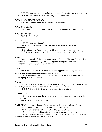UCC: Not used but episcopal authority is a responsibility of presbytery, except for ordination in the UCC which is the responsibility of the Conference.

#### *BOOK OF COMMON WORSHIP***:**

PCC: Service book approved for optional use by clergy.

#### *BOOK OF FORMS***:**

PCC: Authoritative document setting forth the law and practice of the church.

## *BOOK OF PRAISE***:**

PCC: The hymn book

## **BYLAW:**

ACC: Not used; see 'Canon'.

ELCIC: The legal regulations that implement the requirements of the Constitution.

PCC: Not used; see *Book of Forms*, and Standing Orders of the Presbytery. UCC: Regulations under which the church operates contained in *The Manual*.

# **CCC:**

Canadian Council of Churches: Made up of 21 Canadian Christian Churches, it is the chief Canadian ecumenical agency. The Anglican, Evangelical Lutheran, Presbyterian and United Churches are members.

#### **CALL:**

ELCIC and UCC: the process of selecting and appointing ministry personnel to serve in a particular congregation or ministry situation.

PCC: A process and document by which members of a congregation request of the presbytery a specific minister.

#### **CANON:**

ACC: An article of church law; also an honorary title given by the bishop to some senior clergy or laypersons. Also used to refer to authorized Scripture.

ELCIC, PCC and UCC: Used to refer to authorized Scripture.

## **CANON LAW:**

ACC: The law governing the life of the church in dioceses, provinces, and at the national level.

ELCIC, PCC and UCC: Not used.

**CATECHISM:** A basic primer of Christian teaching that uses questions and answers.

ACC: There is a Catechism in the *Book of Common Prayer*

ELCIC: Lutherans use Luther's *Small* and *Large Catechisms*.

UCC: Traditionally used in confirmation preparation; now seldom used.

PCC: Traditionally, the *Westminster Confession* was used frequently in Christian teaching; there is a modern catechism available.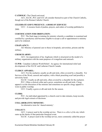**CATHOLIC:** The Church universal.

ACC, ELCIC, PCC and UCC all consider themselves part of the Church Catholic, though not of the Roman Catholic Church.

# *CELEBRATE GOD'S PRESENCE: A BOOK OF SERVICES*

UCC: A resource book of psalms, prayers, and orders of worship published in 2000.

# **CERTIFICATION FOR ORDINATION:**

PCC: The final stage in training for ministry whereby a candidate is examined and certified by a presbytery and becomes eligible to accept a call or appointment to ministry and to be ordained.

# **CHAPLAINCY:**

All: Ministry of pastoral care to those in hospitals, universities, prisons and the military.

# **CHURCH ARMY:**

ACC: An organization of lay Anglicans which is structured on the model of a military organization with the main purposes of evangelism and outreach.

**CLWR:** Canadian Lutheran World Relief: An agency for international relief and development of the ELCIC and Lutheran Church Canada.

# **CLERGY APPAREL:**

ACC: For the eucharist, usually an alb and stole, often covered by a chasuble. For Services of the Word, cassock and surplice, with a black preaching scarf and possibly a university hood.

ELCIC: Usually an alb and stole, often covered by a chasuble for the eucharist.

PCC: Often a clerical collar and a gown, sometimes an alb and stole. Clergy apparel is at the discretion of the minister and sometimes no specific clergy apparel is worn in public worship.

UCC: Usually a gown or alb and stole for the season.

# **CLERK:**

PCC: An individual appointed by a church court to take minutes, keep records, and provide legal extracts of decisions.

# **COLLABORATIVE MINISTRY:**

An alternative term for 'shared ministry'.

# **COLLECT:**

ACC: A prayer used in the worship service. There is a *collect of the day* which sums up the theme of that particular liturgical event.

ELCIC: A prayer used in the worship service, more commonly called the prayer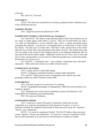of the day.

PCC and UCC: Not used.

#### **COLLOQUY:**

ELCIC: The final oral examination for seminary graduates before ordination; part of the certification process.

# *COMMON PRAISE:*

ACC: Anglican hymn book authorized in 1998

#### **COMMUNION VESSELS AND LINENS (see 'Eucharist'):**

ACC and ELCIC: The chalice (cup) and paten (plate) used in the Eucharist are set on a linen or cotton square cloth called a *corporal*. They are covered before use with a *veil*, often of embroidered or woven material, and a *burse*, a square decorated pocket containing the corporal. A *purificator*, a rectangular linen or cotton cloth, is used to wipe the chalice. The altar top is covered with a "fair linen" cloth, and the front or the whole altar may be covered with a more decorated cloth called a *frontal*. The frontal, burse and veil are usually in the colour for the liturgical season, as are hangings behind the altar (if any) and on the lectern and/or pulpit. Additional vessels are two *cruets*, one of wine and one of water, and (possibly) a *lavabo* bowl in which the presider may wash his/her hands, drying them on a *lavabo towel*.

UCC and PCC: Communion ware – cup or chalice, communion trays with small cups, plate. Table cloths and colours are a matter of local custom.

## **COMMUNITY OF FAITH:**

ACC: Usually used in a multi-faith setting.

ELCIC: A religious community sharing a common faith and beliefs.

UCC and PCC: Often used to mean a congregation, but could be any other grouping of believers, either Christian or other faith.

#### **CONFERENCE:**

ACC: Not used, except in its usual sense of a meeting.

ELCIC: Geographical groupings of congregations within the synod (similar to an Anglican 'deanery'.

UCC: Regional court of the church comprising a group of presbyteries, with responsibility for ordination and commissioning.

PCC: Not used, see Presbytery.

#### **CONFESSION/CREED:**

ACC: *Confession* is used of the prayer of penitence which may be said corporately or as a private sacramental act in the presence of a priest. *Creed* is a statement of belief; the Anglican Church holds to three universal creeds: the 'Apostles'', 'Nicene', and 'Athanasian'.

ELCIC: 1) A creed is a statement of belief. The ELCIC holds to three universal creeds: Apostles', Nicene, and Athanasian. 2) *Confession*: A prayer of penitence which may be said corporately or as a private act in the presence of a pastor or another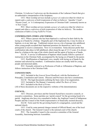Christian. 3) *Lutheran Confessions* are the documents of the Lutheran Church that give an authoritative interpretation of the Scriptures.

UCC: Most worship services include a *prayer of confession* (that for which we repent) and a *confession of faith* (expression of what we believe): 'Apostles' Creed', 'Nicene Creed', or 'A Contemporary Expression of Christian Faith' commonly known as 'A New Creed'.

PCC: Most worship services include a *prayer of confession* (that for which we repent) and often a *confession of faith* (expression of what we believe). The modern confession of faith is *Living Faith/Foi Vivant*.

#### **CONFIRMATION (TIMES AND TERMS):**

ACC: When a person who has been baptized is *confirmed* in their faith by the laying on of hands by a bishop. Originally part of the baptismal rite, it may be done at baptism, or at any later age. Traditional custom was as a rite of passage into adulthood, when young people accepted their baptismal promises for themselves, and it was a prerequisite to receive communion. Now it is in transition. Some dioceses prefer that confirmation take place in full adulthood, others keep the age of 12-13 years. It is always done by a bishop as the sign of the whole church and the agent of laying on of hands.

ELCIC: A service of affirmation of baptism which usually follows a period of instruction in the Christian Faith, accompanied by the laying on of hands by the pastor.

. UCC: Reaffirmation of baptismal vows, usually with laying on of hands by the minister and selected lay members. Confirmation classes are usually held for young people and interested adults.

PCC: Normally referred to as Profession of Faith or Affirmation of Baptism, and follows instruction in the Christian Faith.

#### **CONSTITUTION:**

ACC: Included in the *General Synod Handbook*, with the Declaration of Principles, Constitution and Canons. Dioceses and Provinces also have constitutions.

ELCIC: The legal documents outlining the basic rules of an organization.

UCC: Included in The Manual. Commonly called *The Basis of Union*.

PCC: Included in the *Book of Forms*.

(All of these documents are on the respective websites of the denominations).

#### **COUNCIL:**

ACC: Dioceses, provinces and the General Synod have executive councils, or executive committees. Some parishes use 'parish council' for the governing board of a parish. Anglicans also have two consultative bodies, the Anglican Council of Indigenous Peoples and the Council of the North (representative of financially assisted dioceses).

ELCIC: Term used for the governing board of a congregation, synod and the national church.

UCC: Used by some pastoral charges instead of Official Board, one of the local courts of the church. The General Council is the national court of the church.

PCC: The Assembly Council is the executive committee of the General Assembly, functioning between Assemblies.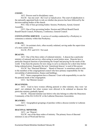## **COURT:**

ACC: Process used in disciplinary cases.

ELCIC: has one court - the *Court of Adjudication.* The court of adjudication is the nationally appointed body to rule on whether due process has been followed by the decision-making bodies of the church.

PCC: One of four governing bodies: Session, Presbytery, Synod, General Assembly.

UCC: One of four governing bodies: Session and Official Board/Church Board/Church Council, Presbytery, Conference, General Council.

**COVENANTING SERVICE**: A service of worship conducted by a Presbytery to commence a ministry within that Presbytery.

#### **CURATE:**

ACC: An assistant cleric, often recently ordained, serving under the supervision of a more senior cleric.

ELCIC, PCC and UCC: Not used.

#### **DEACON:**

ACC: One of the three orders of ordained ministry. A deacon has a particular ministry of outreach and service, often acting in social justice areas. Deacons have a particular liturgical function of proclaiming the Gospel and praying for the needs of the world. It has been the practice for new clergy to serve as deacons for a short time before being ordained priest; frequently the term 'transitional deacon' is used of this person

ELCIC: See 'Diaconal Minister'. 'Board of Deacons' is sometimes used to refer to the members of the congregational council who have primary responsibility for the stewardship of administration, finance and buildings.

PCC: Some congregations have a Deacons' Court with responsibility to care for the pastoral needs of the congregation.

UCC: See'Minister (noun)'.

#### **DEACONESS:**

ACC: Used to have women offering pastoral or other ministry; they were 'set apart', not ordained, but when women were allowed to be ordained as deacons this particular ministry gradually lapsed.

ELCIC: Diaconal minister (see below) who also belongs to either the Deaconess Community of the ELCA/ELCIC or the Lutheran Deaconess Association.

#### **DEANERY:**

ACC: Geographical groupings of parishes within a diocese (similar to Lutheran 'conference').

#### **DIACONAL MINISTER:**

ACC: see 'Deacon'.

ELCIC: one of the three orders of ministry. The primary focus of diaconal ministers is one of Word and Service.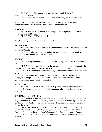PCC: Member of an order of teaching ministers specializing in Christian Education and service.

UCC: One of the two streams of the Order of Ministry; see 'Minister (noun)'.

**DIALOGUE:** Conversation towards mutual understanding, such as between denominations like the Anglican Church/United Church Dialogue.

# **DIOCESE:**

ACC: Basic unit of the church, containing a number of parishes. In Canada there are 29, each headed by a bishop.

ELCIC, PCC and UCC: Not used.

**ELCIC:** Evangelical Lutheran Church in Canada

#### **ECUMENISM:**

ACC, PCC and ELCIC: Generally meaning the work towards the reconciliation of the whole Church.

UCC: Currently working on expanding the meaning beyond inter-church to include inter-faith and *whole world ecumenism.*

#### **ELDERS:**

ACC: Aboriginal elders play an important leadership role in First Nations church life.

ELCIC: Sometimes used to refer to the members of a congregational council who have primary responsibility for the spiritual affairs of the congregation.

PCC: An ordained order of ruling ministry. The ordained minister is the 'teaching elder'.

UCC: Members of the Session being responsible for the spiritual life of the congregation and pastoral care of its families. Elders are considered the wise ones, especially in Aboriginal church communities.

#### **EPISCOPAL:**

ACC AND ELCIC: Pertaining to the bishop, or to a church which has bishops.

UCC: Same, and the functions of a bishop undertaken by the Conference or Presbytery.

#### **EUCHARIST/COMMUNION:**

ACC: *Eucharist* is the usual term for the sacrament of the altar, although the term *holy communion* is also used. Some Anglicans call it *mass* or *divine liturgy*. Normally celebrated every Sunday, at the main service and often at additional times on Sunday or during the week.

ELCIC: Sacrament of the Altar in which participants receive the bread/wine, which is the body/blood of Christ. Congregations are encouraged to celebrate the Eucharist (also referred to as the Lord's Supper or Holy Communion) every Sunday.

PCC and UCC: *Communion* is the common term for the Sacrament of the Lord's Supper.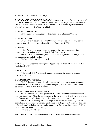**EVANGELICAL:** Based on the Gospel.

*EVANGELICAL LUTHERAN WORSHIP*: The current hymn book/worship resource of the ELCIC, published in 2006. Preferred abbreviation is *Worship* or *WOR*, because the ELCIC's national women's organization is known as ELW (for Evangelical Lutheran Women); the acronym ELW is copyrighted.

# **GENERAL ASSEMBLY:**

PCC: Highest governing body of The Presbyterian Church in Canada.

# **GENERAL COUNCIL**

UCC: National governing body of the church which meets triennially; between meetings its work is done by the General Council Executive (GCE).

## **GENUFLECT:**

ACC **:** An act of reverence in the presence of the blessed sacrament (the consecrated bread and/or wine). One kneels (briefly) on one knee.

ELCIC: An act of reverence (most commonly bowing) before the altar, often at the beginning and end of worship.

PCC and UCC: Normally not used.

**GHDA:** Global Hunger and Development Appeal: the development, relief and justice fund of the ELCIC.

# **GRADUAL:**

ACC and ELCIC: A psalm or hymn said or sung as the Gospel is taken in procession to be read.

## **GUARANTEE OF STIPEND:**

PCC: A document (part of the call process) in which a congregation sets out the stipend to be paid to its minister and promises the presbytery that they will fulfill this obligation as a first call on their resources.

## **HOUSE/CONFERENCE OF BISHOPS:**

ACC: All the bishops serving in the church. The House meets for consultation on its own twice a year. When the bishops meet in the General Synod, with clergy and laity, they form an 'order' of bishops. Each order votes separately on certain issues.

ELCIC: All the actively serving bishops of the church, who meet together for consultation, usually twice a year as a Conference of Bishops. The Conference does not make policy or legislation, but may make proposals to the National Convention (NC) or to the National Church Council (NCC).

PCC and UCC: Not used.

**INCUMBENT:** Person currently holding office, usually referring to the minister.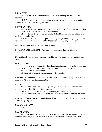## **INDUCTION:**

ACC: A service of installation in ministry conducted by the bishop or their designate.

PCC: A service of worship conducted by a presbytery to commence a ministry where there is a call from a congregation.

## **INSTALLATION:**

ACC: Used for lay officials being admitted to office, or of the placing of a bishop in his/her seat in the cathedral after their consecration.

ELCIC: To install - e.g. a pastor, Sunday School teachers, etc. Each has it own service and implications.

PCC and UCC: Usually a liturgical act recognizing someone beginning work in a new office, such as the installation of the Moderator, or of Sunday School teachers.

**INTERCESSION:** Prayers for the needs of others.

**INTERDENOMINATIONAL:** Activities involving more than one Christian denomination.

**INTERNSHIP:** An in-service training period for those preparing for ordered ministry roles.

#### **JUDICATORY:**

All: A term used in ecumenical shared ministry situations to describe a governing body or person(s) who has responsibility for oversight of the ministry situation.

ACC and ELCIC: The bishop.

PCC and UCC: Each of the four courts of the church.

**KAIROS:** An ecumenical coalition of churches in Canada working together on matters of justice. All four churches are members.

#### **LAITY:**

ACC: All the people of God, but generally used of those not ordained to one of the other three orders (bishop, priest, deacon).

ELCIC and PCC: The members of a congregation not ordained.

UCC: All the people of God, usually used to distinguish from ministry personnel.

**LAMBETH CONFERENCE:** Global gathering of all Anglican bishops that normally occurs every 10 years.

#### **LAY MISSIONARY:**

PCC:

## **LAY READER:**

ACC: The duties for Lay Reader vary in different dioceses and other titles of the office may be used, e.g. Lay Minister of Word and Sacrament. For some, this may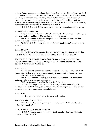indicate that the person reads scripture in services. In others, the Bishop licenses trained Lay Readers who work under the supervision of the Rector to perform additional duties, including leading morning and evening prayer, distributing communion (during a Eucharistic service and in special circumstances to shut-ins), preaching, baptizing in emergencies, and conducting funerals when no clergyperson is available. This licensing does not include the presiding at a marriage or eucharist.

ELCIC, PCC and UCC: Lay person who reads scripture in the worship service.

## **LAYING ON OF HANDS:**

ACC: The sacramental action of the bishop in ordinations and confirmations, and also used by clergy and licensed lay ministers in healing services.

ELCIC: The action by bishops and pastors in ordinations and confirmation services, and also in healing services.

PCC and UCC: Term used in ordination/commissioning, confirmation and healing services.

#### **LECTIONARY:**

All: The listing of the appointed texts for the church year. Many congregations use the Revised Common Lectionary which offers texts in a three-year cycle.

**LICENSE TO PERFORM MARRIAGES:** Anyone who presides at a marriage requires a civil license issued by the civil province. Each church authorizes a list of personnel eligible for such a license.

## **LICENSING:**

ACC: All clergy (including those in ecumenical shared ministries) need to be licensed by a bishop in order to exercise ministry in a diocese; Lay Readers are also licensed for their particular ministry.

ELCIC: The action of a bishop to authorize someone other than an ordained Lutheran pastor to exercise pastoral ministry.

PCC: No longer used, see Certification for Ordination.

UCC: Authorizing someone to practice ministry - as in the licensing of lay worship leaders or the licensing of lay/commissioned ministry personnel to administer the sacraments within a particular pastoral charge.

#### **LITURGY:**

All: Both the order of service and the event of worship.

#### *LIVING FAITH/FOI VIVANT***:**

PCC: A booklet containing a contemporary expression of Christian belief, a 'subordinate standard'.

#### *LBW***:** *LUTHERAN BOOK OF WORSHIP*

ELCIC: A worship book and hymnal of the Evangelical Lutheran Church in Canada published in 1978.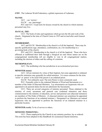**LWF:** The Lutheran World Federation, a global expression of Lutherans.

## **MANSE:**

ACC - see 'rectory'.

ELCIC - see 'parsonage'.

PCC and UCC: Usual term for houses owned by the church in which ministry personnel may live.

## *MANUAL, THE***:**

UCC: The book of rules and regulations which govern the life and work of the church. Originated at the time of Church Union in 1925 and revised after each General Council.

# **MEMBERSHIP:**

ACC and ELCIC: Membership in the church is of all the baptized. There may be specific qualifications (age, attendance, confirmation, etc.) for membership in a governing body of the church.

PCC and UCC: Membership in the church is of all the baptized. Those who have affirmed or reaffirmed their faith through a liturgical act and whose names are on the congregational membership roll are eligible to vote in all congregational matters, including the election of elders and the calling of a minister.

## **METROPOLITAN:**

ACC: The archbishop who has jurisdiction in an ecclesiastical province.

# **MINISTER (noun):**

ACC: All are ministers by virtue of their baptism, but some appointed or ordained to specific ministries may generally be called ministers. It is more common for the term 'rector' or 'priest' to be used if the person is an ordained priest.

ELCIC: Not ordinarily used. The term Pastor is more commonly used.

PCC: Normally refers to the ordained Minister of Word and Sacraments or a member of the Order of Diaconal Ministers. Lay missionaries are laypersons who are appointed to do pastoral duties but do not administer the Sacraments.

UCC: There are several categories of ministry personnel. Those ordained to the ministry of word, sacrament and pastoral care (ordained ministers) and those commissioned to the ministry of education, service and pastoral care (diaconal ministers) are members of The Order of Ministry. (A diaconal minister can sometimes be appointed to perform the functions of an ordained minister.) Designated Lay Ministers are trained laypersons who are appointed to perform the functions of an ordained minister in a particular location.

**MINISTER (verb):** To be of service to others.

# **MINISTRY PERSONNEL:**

UCC: Those employed by the Church in any ministry position, lay or ordered. This term has been adopted in this Handbook for ecumenical shared ministries.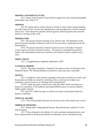#### **MISSION AND SERVICE FUND:**

UCC: Name of the General Council fund to support the local, national and global partnership work of the UCC.

## **MISSION:**

All: The whole activity of the Church in witness to Jesus Christ and the building up of the reign of God. *Partnership* characterizes work throughout the world in mission and service. Each church has specific mission agencies and/or programs that assist the church in carrying on this work.

# **MODERATOR:**

PCC: The person elected to preside at any church court. The Moderator of the annual General Assembly continues in office for one year and is a spokesperson for the denomination.

UCC: The person elected by General Council to serve as Presider of General Council and its executive and sub-executive. The person is considered the spiritual leader of the denomination and serves until the next General Council, usually every 3 years.

#### *MORE VOICES***:**

UCC: A supplementary songbook, published in 2007.

## **NATIONAL BISHOP:**

ELCIC: The pastor elected by a National Convention to serve as the head of the National Church. The National Bishop is elected for a four-year term, renewable.

## **OFFICE:**

ACC: In addition to the common meanings of the space in which one works, and the position one holds on a board or committee, this is a term given to daily, noneucharistic, prayer services (e.g. Morning and Evening Prayer).

ELCIC: either the space in which one works, the office which one holds on a board or a committee, or the authority and responsibilities given to a person called to fulfill a public ministry.

PCC and UCC: Either the space in which one works or the position held on a board or committee.

#### **OFFICIAL BOARD:**

UCC: One of the possible structures for the local court of the church (see 'court').

#### **ORDER OF MINISTRY:**

PCC: Ruling elder, congregational deacon, diaconal minister, minister of word and sacrament.

UCC: Those ordained to the ministry of word, sacrament and pastoral care, and those commissioned to the diaconal ministry of education, service and pastoral care.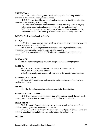## **ORDINATION:**

ACC: The service of laying-on-of-hands with prayer by the bishop admitting someone to the order of deacon, priest, or bishop.

ELCIC: The service of laying-on-of-hands with prayer by the bishop admitting someone to the order of pastor or bishop.

PCC: The act of setting an individual in an order by authority of the presbytery (ruling elder, congregational deacon, ministry of word and sacrament).

UCC: The setting apart by the Conference of someone for a particular ministry, used in the context of the ministry of Word and sacraments and pastoral care.

**PCC:** The Presbyterian Church in Canada

# **PARISH:**

ACC: One or more congregations which have a common governing /advisory unit and one priest-in-charge or equivalent.

ELCIC and PCC: A congregation or more than one congregation in a formal relationship with each other and who share pastoral ministry.

UCC: Not normally used in an official sense, except in some areas as 'larger parish'.

# **PARSONAGE:**

ELCIC: House occupied by the pastor and provided by the congregation.

# **PASTOR:**

ACC: A parish priest or a chaplain. The bishop is the chief pastor. ELCIC and PCC: Ordained Minister. UCC: Not normally used, except with reference to the minister's pastoral role.

# **PASTORAL CHARGE:**

PCC and UCC: Local congregation, or if a multi-point congregation, the term used to describe that.

# **POLITY:**

All: The form of organization and government of a denomination.

## *PRESBYTERIANS SHARING…*

PCC: The mission and administration fund of the national church through which congregations are requested to contribute to the work of the wider church.

# **PRESBYTERY:**

PCC: The court of the church between session and synod, having oversight of ministers and congregations and the right to ordain.

UCC: The court of the church between conference and pastoral charge. Functions include oversight of pastoral charges, pastoral relationships and property.

## **PRIEST:**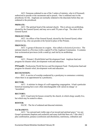ACC: Someone ordained to one of the 3 orders of ministry, who is (if licensed) authorized to preside at the sacraments and to preach. One is ordained once to the priesthood, for life. Anglicans are normally ordained to the diaconate before they are ordained to the priesthood.

## **PRIMATE:**

ACC: The spiritual head of the national church. This is always an archbishop, elected by the General Synod, and may serve until 70 years of age. The chair of the General Synod.

#### **PROLOCUTOR:**

ACC: An officer of the General Synod, elected by the General Synod, either clerical or lay, who can preside at the Synod in place of the Primate.

#### **PROVINCE:**

ACC: A group of dioceses in a region. Also called *ecclesiastical province*. The national church is a Province (with a capital P) of the Anglican Communion. It contains four ecclesiastical provinces (with a small p), each led by an archbishop.

## **PWRDF:**

ACC: Primate's World Relief and Development Fund: Anglican fund and program for disaster relief, development work and education.

**PWSandD:** Presbyterian World Service and Development Fund: Presbyterian fund and program for disaster relief, development work and education.

#### **RECOGNITION:**

PCC: A service of worship conducted by a presbytery to commence a ministry where there is an appointment by a presbytery.

## **RECTOR:**

ACC: A minister in charge of a self-supporting congregation. It had a particular historical meaning but is now often interchangeable with 'priest-in-charge' or 'incumbent'.

## **RECTORY:**

ACC: Usual term for houses owned by the church, in which clergy usually live, but which may be rented to others.

## **ROSTER:**

 $ELCC$ : The list of ordained and diaconal ministers.

#### **SACRAMENT:**

ACC: "An outward and visible sign of an inward and spiritual grace;" two are Gospel sacraments (baptism and eucharist) and many hold that there are 7 (the chief 2 plus confirmation, penance (confession and absolution), matrimony, ordination and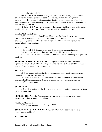unction (anointing of the sick)).

ELCIC: One of the two means of grace (Word and Sacrament) by which God proclaims and bestows grace upon people. There are generally two recognized sacraments for Lutherans: The Sacrament of Baptism and the Sacrament of the Altar. The sacraments are commanded by Christ, proclaim and bestow grace, and are connected with an earthly element.

PCC and UCC: A holy act instituted by Jesus; uses visible elements and promises a spiritual blessing. A means of grace. Two recognized: Baptism and Communion.

# **SACRAMENTS ELDER:**

UCC: a lay member of the United Church who has been licensed by the Conference to preside at the sacraments of Baptism and Communion, within a pastoral charge, a congregation of which they are a member. This ministry is not available to shared ministry congregations.

#### **SANCTUARY**:

ACC and ELCIC: the part of the church building surrounding the altar.

PCC and UCC: the space in which formal worship is conducted.

All 4 churches also use the term for the ancient custom of providing safe space for fugitives.

**SEASONS OF THE CHURCH YEAR:** Liturgical calendar: Advent, Christmas, Epiphany, Lent, Easter, Pentecost/Trinity. Seasons are often distinguished by changes of colour of vestments and church decorations.

#### **SESSION:**

PCC: Governing body for the local congregation, made up of the minister and elders elected from the congregation.

UCC: One possible structure for the local court of the church. Responsible for the spiritual life of the congregation. Session members are called elders and must be members of the congregation.

#### **SETTLEMENT:**

UCC: The action of the Conference to appoint ministry personnel to their particular ministries.

**SHARING THE PEACE:** Worshippers share a ritual greeting during a service of worship, according to an ancient tradition.

# **'SONG OF FAITH':**

UCC: A statement of faith, adopted in 2006.

*SONGS FOR A GOSPEL PEOPLE***:** A supplementary hymn book used in many congregations, published in 1987.

#### **STEWARDS:**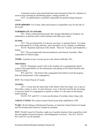Commonly used in some denominational and ecumenical circles for volunteers to assist at large meetings by distributing papers, running errands, etc.

UCC: An administrative committee responsible for pastoral charge financial matters.

**STEWARDSHIP:** Use of time, talent and treasure in responsible ways for the sake of the world.

# **SUBORDINATE STANDARD:**

PCC: Those confessional documents that, though subordinate to Scripture, are authoritative in doctrine and to which ministers and elders give assent.

#### **SYNOD:**

ACC: The governing body of a diocese, province, or national church. It is made up of representatives of clergy and laity, and is presided over by a bishop or archbishop.

ELCIC: Regional expression of the church. There are 5 synods, each headed by a bishop.

PCC: The governing body between presbytery and General Assembly. Often responsible for church camps.

**TITHE:** A portion of one's income given to the church, biblically 10%.

#### **TRUSTEES:**

ELCIC: Sometimes used to refer to the members of a congregational church council with responsibility for the maintenance and upkeep of the church facilities and financial affairs.

PCC and UCC: The board of the congregation that holds in trust the property, both real and personal, of the congregation.

**UCC:** The United Church of Canada

## **VESTRY:**

ACC: A room near the main body of the church where the clergy vest, or put on their robes; a place to meet. In some dioceses, *vestry* is the term used for the governing or advisory board of a congregation or parish; in others, it is the name for the annual parish meeting.

ELCIC, PCC and UCC: A room near the place of worship, where clergy robe.

*VOICES UNITED***:** The current United Church hymn book, published in 1995.

**WARC:** World Alliance of Reformed Churches, of which the United Church of Canada and The Presbyterian Church in Canada are members.

**WCC:** World Council of Churches, made up of member churches from around the world; the chief global ecumenical agency, with headquarters in Geneva. The ACC, ELCIC, PCC and UCC are all members.